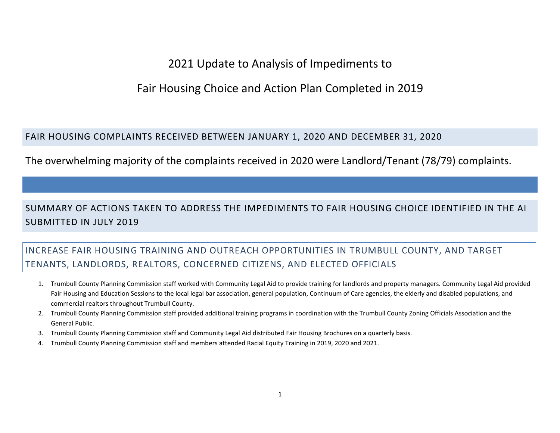# 2021 Update to Analysis of Impediments to

# Fair Housing Choice and Action Plan Completed in 2019

#### FAIR HOUSING COMPLAINTS RECEIVED BETWEEN JANUARY 1, 2020 AND DECEMBER 31, 2020

The overwhelming majority of the complaints received in 2020 were Landlord/Tenant (78/79) complaints.

## SUMMARY OF ACTIONS TAKEN TO ADDRESS THE IMPEDIMENTS TO FAIR HOUSING CHOICE IDENTIFIED IN THE AI SUBMITTED IN JULY 2019

## INCREASE FAIR HOUSING TRAINING AND OUTREACH OPPORTUNITIES IN TRUMBULL COUNTY, AND TARGET TENANTS, LANDLORDS, REALTORS, CONCERNED CITIZENS, AND ELECTED OFFICIALS

- 1. Trumbull County Planning Commission staff worked with Community Legal Aid to provide training for landlords and property managers. Community Legal Aid provided Fair Housing and Education Sessions to the local legal bar association, general population, Continuum of Care agencies, the elderly and disabled populations, and commercial realtors throughout Trumbull County.
- 2. Trumbull County Planning Commission staff provided additional training programs in coordination with the Trumbull County Zoning Officials Association and the General Public.
- 3. Trumbull County Planning Commission staff and Community Legal Aid distributed Fair Housing Brochures on a quarterly basis.
- 4. Trumbull County Planning Commission staff and members attended Racial Equity Training in 2019, 2020 and 2021.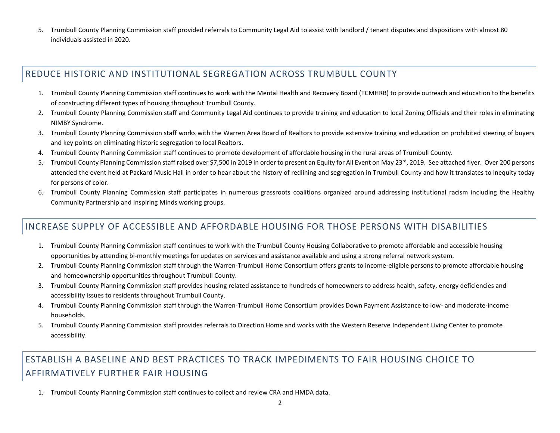5. Trumbull County Planning Commission staff provided referrals to Community Legal Aid to assist with landlord / tenant disputes and dispositions with almost 80 individuals assisted in 2020.

### REDUCE HISTORIC AND INSTITUTIONAL SEGREGATION ACROSS TRUMBULL COUNTY

- 1. Trumbull County Planning Commission staff continues to work with the Mental Health and Recovery Board (TCMHRB) to provide outreach and education to the benefits of constructing different types of housing throughout Trumbull County.
- 2. Trumbull County Planning Commission staff and Community Legal Aid continues to provide training and education to local Zoning Officials and their roles in eliminating NIMBY Syndrome.
- 3. Trumbull County Planning Commission staff works with the Warren Area Board of Realtors to provide extensive training and education on prohibited steering of buyers and key points on eliminating historic segregation to local Realtors.
- 4. Trumbull County Planning Commission staff continues to promote development of affordable housing in the rural areas of Trumbull County.
- 5. Trumbull County Planning Commission staff raised over \$7,500 in 2019 in order to present an Equity for All Event on May 23<sup>rd</sup>, 2019. See attached flyer. Over 200 persons attended the event held at Packard Music Hall in order to hear about the history of redlining and segregation in Trumbull County and how it translates to inequity today for persons of color.
- 6. Trumbull County Planning Commission staff participates in numerous grassroots coalitions organized around addressing institutional racism including the Healthy Community Partnership and Inspiring Minds working groups.

### INCREASE SUPPLY OF ACCESSIBLE AND AFFORDABLE HOUSING FOR THOSE PERSONS WITH DISABILITIES

- 1. Trumbull County Planning Commission staff continues to work with the Trumbull County Housing Collaborative to promote affordable and accessible housing opportunities by attending bi-monthly meetings for updates on services and assistance available and using a strong referral network system.
- 2. Trumbull County Planning Commission staff through the Warren-Trumbull Home Consortium offers grants to income-eligible persons to promote affordable housing and homeownership opportunities throughout Trumbull County.
- 3. Trumbull County Planning Commission staff provides housing related assistance to hundreds of homeowners to address health, safety, energy deficiencies and accessibility issues to residents throughout Trumbull County.
- 4. Trumbull County Planning Commission staff through the Warren-Trumbull Home Consortium provides Down Payment Assistance to low- and moderate-income households.
- 5. Trumbull County Planning Commission staff provides referrals to Direction Home and works with the Western Reserve Independent Living Center to promote accessibility.

## ESTABLISH A BASELINE AND BEST PRACTICES TO TRACK IMPEDIMENTS TO FAIR HOUSING CHOICE TO AFFIRMATIVELY FURTHER FAIR HOUSING

1. Trumbull County Planning Commission staff continues to collect and review CRA and HMDA data.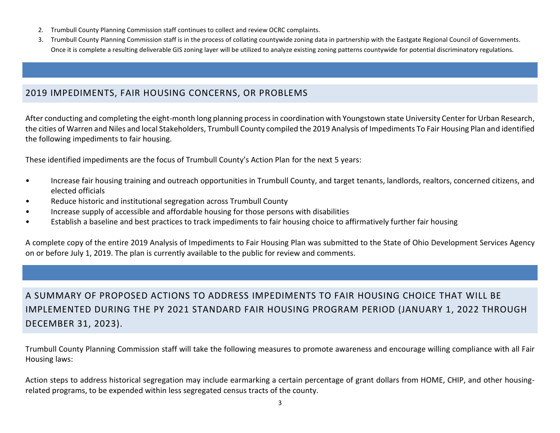- 2. Trumbull County Planning Commission staff continues to collect and review OCRC complaints.
- 3. Trumbull County Planning Commission staff is in the process of collating countywide zoning data in partnership with the Eastgate Regional Council of Governments. Once it is complete a resulting deliverable GIS zoning layer will be utilized to analyze existing zoning patterns countywide for potential discriminatory regulations.

### 2019 IMPEDIMENTS, FAIR HOUSING CONCERNS, OR PROBLEMS

After conducting and completing the eight-month long planning process in coordination with Youngstown state University Center for Urban Research, the cities of Warren and Niles and local Stakeholders, Trumbull County compiled the 2019 Analysis of Impediments To Fair Housing Plan and identified the following impediments to fair housing.

These identified impediments are the focus of Trumbull County's Action Plan for the next 5 years:

- Increase fair housing training and outreach opportunities in Trumbull County, and target tenants, landlords, realtors, concerned citizens, and elected officials
- Reduce historic and institutional segregation across Trumbull County
- Increase supply of accessible and affordable housing for those persons with disabilities
- Establish a baseline and best practices to track impediments to fair housing choice to affirmatively further fair housing

A complete copy of the entire 2019 Analysis of Impediments to Fair Housing Plan was submitted to the State of Ohio Development Services Agency on or before July 1, 2019. The plan is currently available to the public for review and comments.

A SUMMARY OF PROPOSED ACTIONS TO ADDRESS IMPEDIMENTS TO FAIR HOUSING CHOICE THAT WILL BE IMPLEMENTED DURING THE PY 2021 STANDARD FAIR HOUSING PROGRAM PERIOD (JANUARY 1, 2022 THROUGH DECEMBER 31, 2023).

Trumbull County Planning Commission staff will take the following measures to promote awareness and encourage willing compliance with all Fair Housing laws:

Action steps to address historical segregation may include earmarking a certain percentage of grant dollars from HOME, CHIP, and other housingrelated programs, to be expended within less segregated census tracts of the county.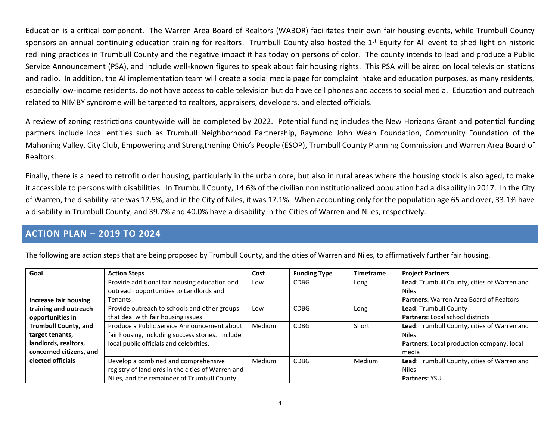Education is a critical component. The Warren Area Board of Realtors (WABOR) facilitates their own fair housing events, while Trumbull County sponsors an annual continuing education training for realtors. Trumbull County also hosted the 1<sup>st</sup> Equity for All event to shed light on historic redlining practices in Trumbull County and the negative impact it has today on persons of color. The county intends to lead and produce a Public Service Announcement (PSA), and include well-known figures to speak about fair housing rights. This PSA will be aired on local television stations and radio. In addition, the AI implementation team will create a social media page for complaint intake and education purposes, as many residents, especially low-income residents, do not have access to cable television but do have cell phones and access to social media. Education and outreach related to NIMBY syndrome will be targeted to realtors, appraisers, developers, and elected officials.

A review of zoning restrictions countywide will be completed by 2022. Potential funding includes the New Horizons Grant and potential funding partners include local entities such as Trumbull Neighborhood Partnership, Raymond John Wean Foundation, Community Foundation of the Mahoning Valley, City Club, Empowering and Strengthening Ohio's People (ESOP), Trumbull County Planning Commission and Warren Area Board of Realtors.

Finally, there is a need to retrofit older housing, particularly in the urban core, but also in rural areas where the housing stock is also aged, to make it accessible to persons with disabilities. In Trumbull County, 14.6% of the civilian noninstitutionalized population had a disability in 2017. In the City of Warren, the disability rate was 17.5%, and in the City of Niles, it was 17.1%. When accounting only for the population age 65 and over, 33.1% have a disability in Trumbull County, and 39.7% and 40.0% have a disability in the Cities of Warren and Niles, respectively.

#### **ACTION PLAN – 2019 TO 2024**

| Goal                        | <b>Action Steps</b>                               | Cost   | <b>Funding Type</b> | <b>Timeframe</b> | <b>Project Partners</b>                        |
|-----------------------------|---------------------------------------------------|--------|---------------------|------------------|------------------------------------------------|
|                             | Provide additional fair housing education and     | Low    | CDBG                | Long             | Lead: Trumbull County, cities of Warren and    |
|                             | outreach opportunities to Landlords and           |        |                     |                  | <b>Niles</b>                                   |
| Increase fair housing       | Tenants                                           |        |                     |                  | <b>Partners: Warren Area Board of Realtors</b> |
| training and outreach       | Provide outreach to schools and other groups      | Low    | <b>CDBG</b>         | Long             | Lead: Trumbull County                          |
| opportunities in            | that deal with fair housing issues                |        |                     |                  | <b>Partners: Local school districts</b>        |
| <b>Trumbull County, and</b> | Produce a Public Service Announcement about       | Medium | <b>CDBG</b>         | Short            | Lead: Trumbull County, cities of Warren and    |
| target tenants,             | fair housing, including success stories. Include  |        |                     |                  | <b>Niles</b>                                   |
| landlords, realtors,        | local public officials and celebrities.           |        |                     |                  | Partners: Local production company, local      |
| concerned citizens, and     |                                                   |        |                     |                  | media                                          |
| elected officials           | Develop a combined and comprehensive              | Medium | <b>CDBG</b>         | Medium           | Lead: Trumbull County, cities of Warren and    |
|                             | registry of landlords in the cities of Warren and |        |                     |                  | <b>Niles</b>                                   |
|                             | Niles, and the remainder of Trumbull County       |        |                     |                  | <b>Partners: YSU</b>                           |

The following are action steps that are being proposed by Trumbull County, and the cities of Warren and Niles, to affirmatively further fair housing.